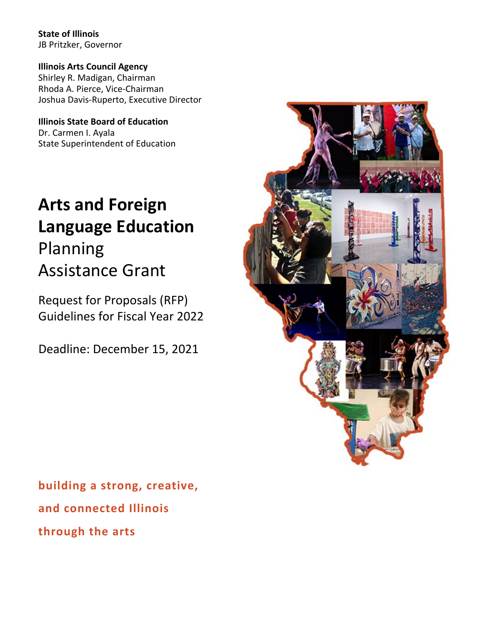**State of Illinois** JB Pritzker, Governor

**Illinois Arts Council Agency** Shirley R. Madigan, Chairman Rhoda A. Pierce, Vice-Chairman Joshua Davis-Ruperto, Executive Director

**Illinois State Board of Education** Dr. Carmen I. Ayala State Superintendent of Education

# **Arts and Foreign Language Education**  Planning Assistance Grant

Request for Proposals (RFP) Guidelines for Fiscal Year 2022

Deadline: December 15, 2021



**building a strong, creative, and connected Illinois through the arts**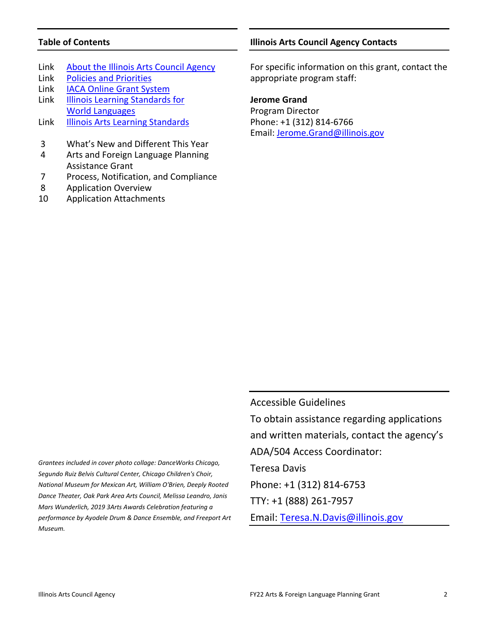# **Table of Contents**

- Link [About the Illinois Arts Council Agency](http://www.arts.illinois.gov/about-iaca) Link [Policies and Priorities](http://www.arts.illinois.gov/grants-programs/funding-programs/policies-priorities)
- Link [IACA Online Grant System](https://arts-illinois.force.com/)
- Link Illinois Learning Standards for [World Languages](https://www.isbe.net/worldlanguages)
- Link [Illinois Arts Learning Standards](https://illinoisartslearning.org/)
- 3 What's New and Different This Year
- 4 Arts and Foreign Language Planning Assistance Grant
- 7 Process, Notification, and Compliance
- 8 Application Overview
- 10 Application Attachments

# **Illinois Arts Council Agency Contacts**

For specific information on this grant, contact the appropriate program staff:

# **Jerome Grand**

Program Director Phone: +1 (312) 814-6766 Email: [Jerome.Grand@illinois.gov](mailto:Jerome.Grand@illinois.gov)

*Grantees included in cover photo collage: DanceWorks Chicago,* 

To obtain assistance regarding applications and written materials, contact the agency's ADA/504 Access Coordinator: Teresa Davis Phone: +1 (312) 814-6753 TTY: +1 (888) 261-7957 Email: [Teresa.N.Davis@illinois.gov](mailto:teresa.n.davis@illinois.gov)

*Segundo Ruiz Belvis Cultural Center, Chicago Children's Choir, National Museum for Mexican Art, William O'Brien, Deeply Rooted Dance Theater, Oak Park Area Arts Council, Melissa Leandro, Janis Mars Wunderlich, 2019 3Arts Awards Celebration featuring a performance by Ayodele Drum & Dance Ensemble, and Freeport Art Museum.*

Accessible Guidelines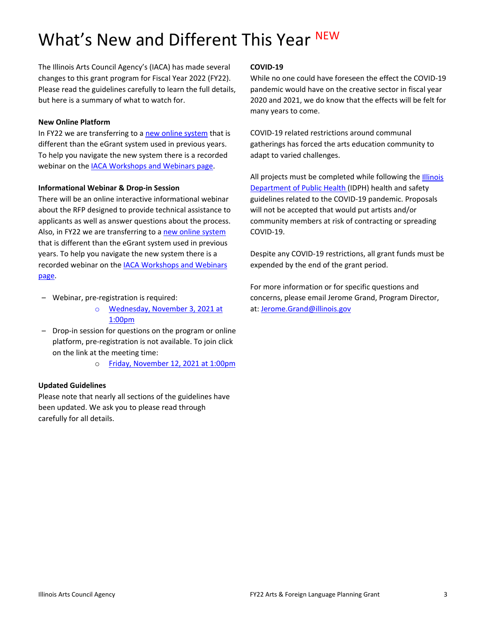# What's New and Different This Year NEW

The Illinois Arts Council Agency's (IACA) has made several changes to this grant program for Fiscal Year 2022 (FY22). Please read the guidelines carefully to learn the full details, but here is a summary of what to watch for.

# **New Online Platform**

In FY22 we are transferring to [a new online system](https://arts-illinois.force.com/) that is different than the eGrant system used in previous years. To help you navigate the new system there is a recorded webinar on the **IACA Workshops and Webinars page**.

# **Informational Webinar & Drop-in Session**

There will be an online interactive informational webinar about the RFP designed to provide technical assistance to applicants as well as answer questions about the process. Also, in FY22 we are transferring to a new [online system](https://arts-illinois.force.com/) that is different than the eGrant system used in previous years. To help you navigate the new system there is a recorded webinar on the **IACA Workshops and Webinars** [page.](https://arts.illinois.gov/Workshops%20%26%20Webinars)

- Webinar, pre-registration is required:
	- o [Wednesday, November 3, 2021 at](https://illinois.webex.com/illinois/onstage/g.php?MTID=e201752a83f78cbe43bf3e37d1009cac9)  [1:00pm](https://illinois.webex.com/illinois/onstage/g.php?MTID=e201752a83f78cbe43bf3e37d1009cac9)
- Drop-in session for questions on the program or online platform, pre-registration is not available. To join click on the link at the meeting time:
	- o [Friday, November 12, 2021 at 1:00pm](https://illinois.webex.com/illinois/j.php?MTID=mdb51845d51f0e876a05ff136bad3dafe)

# **Updated Guidelines**

Please note that nearly all sections of the guidelines have been updated. We ask you to please read through carefully for all details.

# **COVID-19**

While no one could have foreseen the effect the COVID-19 pandemic would have on the creative sector in fiscal year 2020 and 2021, we do know that the effects will be felt for many years to come.

COVID-19 related restrictions around communal gatherings has forced the arts education community to adapt to varied challenges.

All projects must be completed while following the **Illinois** [Department of Public Health](https://www.dph.illinois.gov/covid19) (IDPH) health and safety guidelines related to the COVID-19 pandemic. Proposals will not be accepted that would put artists and/or community members at risk of contracting or spreading COVID-19.

Despite any COVID-19 restrictions, all grant funds must be expended by the end of the grant period.

For more information or for specific questions and concerns, please email Jerome Grand, Program Director, at: [Jerome.Grand@illinois.gov](mailto:Jerome.Grand@illinois.gov)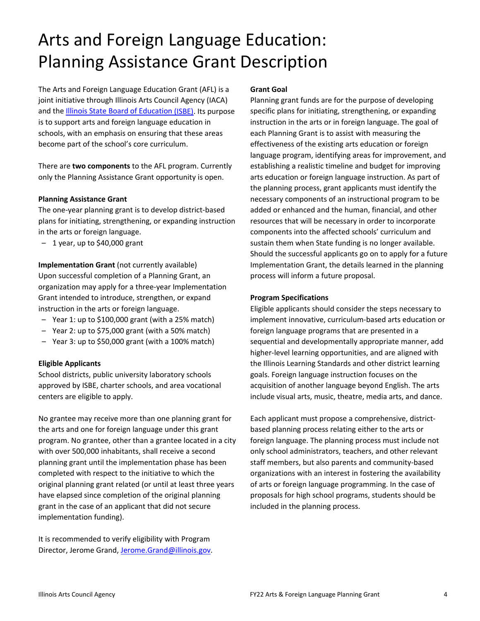# Arts and Foreign Language Education: Planning Assistance Grant Description

The Arts and Foreign Language Education Grant (AFL) is a joint initiative through Illinois Arts Council Agency (IACA) and the [Illinois State Board of Education](http://www.isbe.net/) (ISBE). Its purpose is to support arts and foreign language education in schools, with an emphasis on ensuring that these areas become part of the school's core curriculum.

There are **two components** to the AFL program. Currently only the Planning Assistance Grant opportunity is open.

# **Planning Assistance Grant**

The one-year planning grant is to develop district-based plans for initiating, strengthening, or expanding instruction in the arts or foreign language.

 $-1$  year, up to \$40,000 grant

**Implementation Grant** (not currently available) Upon successful completion of a Planning Grant, an organization may apply for a three-year Implementation Grant intended to introduce, strengthen, or expand instruction in the arts or foreign language.

- Year 1: up to \$100,000 grant (with a 25% match)
- Year 2: up to \$75,000 grant (with a 50% match)
- Year 3: up to \$50,000 grant (with a 100% match)

# **Eligible Applicants**

School districts, public university laboratory schools approved by ISBE, charter schools, and area vocational centers are eligible to apply.

No grantee may receive more than one planning grant for the arts and one for foreign language under this grant program. No grantee, other than a grantee located in a city with over 500,000 inhabitants, shall receive a second planning grant until the implementation phase has been completed with respect to the initiative to which the original planning grant related (or until at least three years have elapsed since completion of the original planning grant in the case of an applicant that did not secure implementation funding).

It is recommended to verify eligibility with Program Director, Jerome Grand, [Jerome.Grand@illinois.gov.](mailto:Jerome.Grand@illinois.gov)

## **Grant Goal**

Planning grant funds are for the purpose of developing specific plans for initiating, strengthening, or expanding instruction in the arts or in foreign language. The goal of each Planning Grant is to assist with measuring the effectiveness of the existing arts education or foreign language program, identifying areas for improvement, and establishing a realistic timeline and budget for improving arts education or foreign language instruction. As part of the planning process, grant applicants must identify the necessary components of an instructional program to be added or enhanced and the human, financial, and other resources that will be necessary in order to incorporate components into the affected schools' curriculum and sustain them when State funding is no longer available. Should the successful applicants go on to apply for a future Implementation Grant, the details learned in the planning process will inform a future proposal.

# **Program Specifications**

Eligible applicants should consider the steps necessary to implement innovative, curriculum-based arts education or foreign language programs that are presented in a sequential and developmentally appropriate manner, add higher-level learning opportunities, and are aligned with the Illinois Learning Standards and other district learning goals. Foreign language instruction focuses on the acquisition of another language beyond English. The arts include visual arts, music, theatre, media arts, and dance.

Each applicant must propose a comprehensive, districtbased planning process relating either to the arts or foreign language. The planning process must include not only school administrators, teachers, and other relevant staff members, but also parents and community-based organizations with an interest in fostering the availability of arts or foreign language programming. In the case of proposals for high school programs, students should be included in the planning process.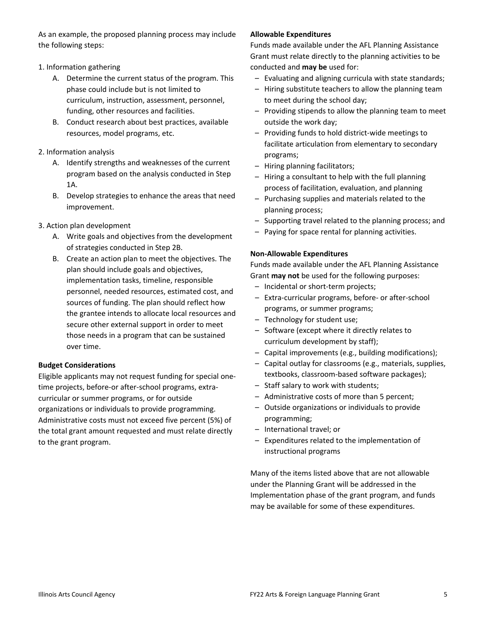As an example, the proposed planning process may include the following steps:

# 1. Information gathering

- A. Determine the current status of the program. This phase could include but is not limited to curriculum, instruction, assessment, personnel, funding, other resources and facilities.
- B. Conduct research about best practices, available resources, model programs, etc.

# 2. Information analysis

- A. Identify strengths and weaknesses of the current program based on the analysis conducted in Step 1A.
- B. Develop strategies to enhance the areas that need improvement.

# 3. Action plan development

- A. Write goals and objectives from the development of strategies conducted in Step 2B.
- B. Create an action plan to meet the objectives. The plan should include goals and objectives, implementation tasks, timeline, responsible personnel, needed resources, estimated cost, and sources of funding. The plan should reflect how the grantee intends to allocate local resources and secure other external support in order to meet those needs in a program that can be sustained over time.

## **Budget Considerations**

Eligible applicants may not request funding for special onetime projects, before-or after-school programs, extracurricular or summer programs, or for outside organizations or individuals to provide programming. Administrative costs must not exceed five percent (5%) of the total grant amount requested and must relate directly to the grant program.

# **Allowable Expenditures**

Funds made available under the AFL Planning Assistance Grant must relate directly to the planning activities to be conducted and **may be** used for:

- Evaluating and aligning curricula with state standards;
- Hiring substitute teachers to allow the planning team to meet during the school day;
- Providing stipends to allow the planning team to meet outside the work day;
- Providing funds to hold district-wide meetings to facilitate articulation from elementary to secondary programs;
- Hiring planning facilitators;
- Hiring a consultant to help with the full planning process of facilitation, evaluation, and planning
- Purchasing supplies and materials related to the planning process;
- Supporting travel related to the planning process; and
- Paying for space rental for planning activities.

## **Non-Allowable Expenditures**

Funds made available under the AFL Planning Assistance Grant **may not** be used for the following purposes:

- Incidental or short-term projects;
- Extra-curricular programs, before- or after-school programs, or summer programs;
- Technology for student use;
- Software (except where it directly relates to curriculum development by staff);
- Capital improvements (e.g., building modifications);
- Capital outlay for classrooms (e.g., materials, supplies, textbooks, classroom-based software packages);
- Staff salary to work with students;
- Administrative costs of more than 5 percent;
- Outside organizations or individuals to provide programming;
- International travel; or
- Expenditures related to the implementation of instructional programs

Many of the items listed above that are not allowable under the Planning Grant will be addressed in the Implementation phase of the grant program, and funds may be available for some of these expenditures.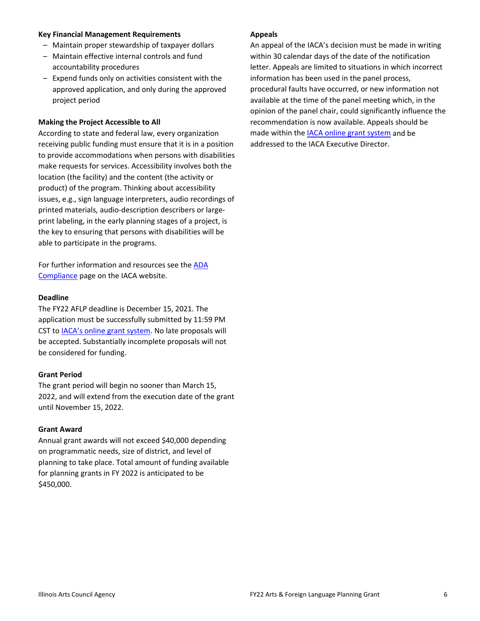# **Key Financial Management Requirements**

- Maintain proper stewardship of taxpayer dollars
- Maintain effective internal controls and fund accountability procedures
- Expend funds only on activities consistent with the approved application, and only during the approved project period

# **Making the Project Accessible to All**

According to state and federal law, every organization receiving public funding must ensure that it is in a position to provide accommodations when persons with disabilities make requests for services. Accessibility involves both the location (the facility) and the content (the activity or product) of the program. Thinking about accessibility issues, e.g., sign language interpreters, audio recordings of printed materials, audio-description describers or largeprint labeling, in the early planning stages of a project, is the key to ensuring that persons with disabilities will be able to participate in the programs.

For further information and resources see the [ADA](http://www.arts.illinois.gov/sites/default/files/content/ADA%20COMPLIANCE.pdf)  [Compliance](http://www.arts.illinois.gov/sites/default/files/content/ADA%20COMPLIANCE.pdf) page on the IACA website.

## **Deadline**

The FY22 AFLP deadline is December 15, 2021. The application must be successfully submitted by 11:59 PM CST to [IACA's online grant system.](https://arts-illinois.force.com/) No late proposals will be accepted. Substantially incomplete proposals will not be considered for funding.

## **Grant Period**

The grant period will begin no sooner than March 15, 2022, and will extend from the execution date of the grant until November 15, 2022.

## **Grant Award**

Annual grant awards will not exceed \$40,000 depending on programmatic needs, size of district, and level of planning to take place. Total amount of funding available for planning grants in FY 2022 is anticipated to be \$450,000.

## **Appeals**

An appeal of the IACA's decision must be made in writing within 30 calendar days of the date of the notification letter. Appeals are limited to situations in which incorrect information has been used in the panel process, procedural faults have occurred, or new information not available at the time of the panel meeting which, in the opinion of the panel chair, could significantly influence the recommendation is now available. Appeals should be made within the **IACA online grant system** and be addressed to the IACA Executive Director.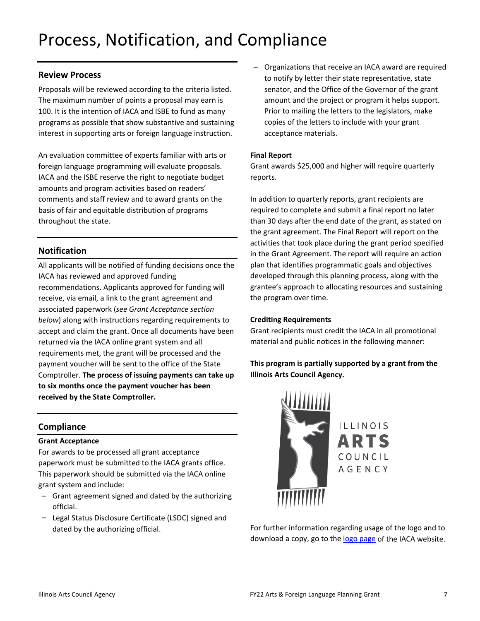# Process, Notification, and Compliance

# **Review Process**

Proposals will be reviewed according to the criteria listed. The maximum number of points a proposal may earn is 100. It is the intention of IACA and ISBE to fund as many programs as possible that show substantive and sustaining interest in supporting arts or foreign language instruction.

An evaluation committee of experts familiar with arts or foreign language programming will evaluate proposals. IACA and the ISBE reserve the right to negotiate budget amounts and program activities based on readers' comments and staff review and to award grants on the basis of fair and equitable distribution of programs throughout the state.

# **Notification**

All applicants will be notified of funding decisions once the IACA has reviewed and approved funding recommendations. Applicants approved for funding will receive, via email, a link to the grant agreement and associated paperwork (*see Grant Acceptance section below*) along with instructions regarding requirements to accept and claim the grant. Once all documents have been returned via the IACA online grant system and all requirements met, the grant will be processed and the payment voucher will be sent to the office of the State Comptroller. **The process of issuing payments can take up to six months once the payment voucher has been received by the State Comptroller.**

# **Compliance**

## **Grant Acceptance**

For awards to be processed all grant acceptance paperwork must be submitted to the IACA grants office. This paperwork should be submitted via the IACA online grant system and include:

- Grant agreement signed and dated by the authorizing official.
- Legal Status Disclosure Certificate (LSDC) signed and dated by the authorizing official.

– Organizations that receive an IACA award are required to notify by letter their state representative, state senator, and the Office of the Governor of the grant amount and the project or program it helps support. Prior to mailing the letters to the legislators, make copies of the letters to include with your grant acceptance materials.

# **Final Report**

Grant awards \$25,000 and higher will require quarterly reports.

In addition to quarterly reports, grant recipients are required to complete and submit a final report no later than 30 days after the end date of the grant, as stated on the grant agreement. The Final Report will report on the activities that took place during the grant period specified in the Grant Agreement. The report will require an action plan that identifies programmatic goals and objectives developed through this planning process, along with the grantee's approach to allocating resources and sustaining the program over time.

# **Crediting Requirements**

Grant recipients must credit the IACA in all promotional material and public notices in the following manner:

**This program is partially supported by a grant from the Illinois Arts Council Agency.** 



For further information regarding usage of the logo and to download a copy, go to the [logo page](http://www.arts.illinois.gov/IACLogo) of the IACA website.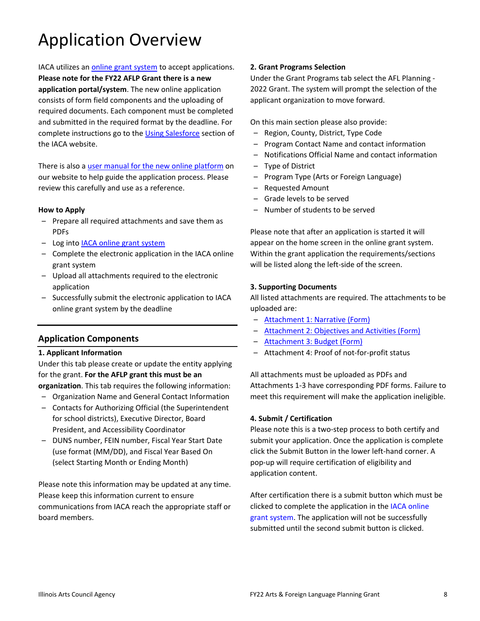# Application Overview

IACA utilizes an [online grant system](https://arts-illinois.force.com/) to accept applications. **Please note for the FY22 AFLP Grant there is a new application portal/system**. The new online application consists of form field components and the uploading of required documents. Each component must be completed and submitted in the required format by the deadline. For complete instructions go to the [Using Salesforce](https://arts.illinois.gov/using-salesforce) section of the IACA website.

There is also a [user manual for the new online platform](https://arts.illinois.gov/sites/default/files/content/IACA%20Applicant%20User%20Manual.pdf) on our website to help guide the application process. Please review this carefully and use as a reference.

## **How to Apply**

- Prepare all required attachments and save them as PDFs
- Log into **IACA online grant system**
- Complete the electronic application in the IACA online grant system
- Upload all attachments required to the electronic application
- Successfully submit the electronic application to IACA online grant system by the deadline

# **Application Components**

## **1. Applicant Information**

Under this tab please create or update the entity applying for the grant. **For the AFLP grant this must be an organization**. This tab requires the following information:

- Organization Name and General Contact Information
- Contacts for Authorizing Official (the Superintendent for school districts), Executive Director, Board President, and Accessibility Coordinator
- DUNS number, FEIN number, Fiscal Year Start Date (use format (MM/DD), and Fiscal Year Based On (select Starting Month or Ending Month)

Please note this information may be updated at any time. Please keep this information current to ensure communications from IACA reach the appropriate staff or board members.

#### **2. Grant Programs Selection**

Under the Grant Programs tab select the AFL Planning - 2022 Grant. The system will prompt the selection of the applicant organization to move forward.

On this main section please also provide:

- Region, County, District, Type Code
- Program Contact Name and contact information
- Notifications Official Name and contact information
- Type of District
- Program Type (Arts or Foreign Language)
- Requested Amount
- Grade levels to be served
- Number of students to be served

Please note that after an application is started it will appear on the home screen in the online grant system. Within the grant application the requirements/sections will be listed along the left-side of the screen.

#### **3. Supporting Documents**

All listed attachments are required. The attachments to be uploaded are:

- [Attachment 1: Narrative \(Form\)](https://arts.illinois.gov/sites/default/files/content/FY22_AFLP_Att1.pdf)
- [Attachment 2: Objectives and Activities \(Form\)](https://arts.illinois.gov/sites/default/files/content/FY22_AFLP_Att2.pdf)
- [Attachment 3: Budget \(Form\)](https://arts.illinois.gov/sites/default/files/content/FY22_AFLP_Att3.pdf)
- Attachment 4: Proof of not-for-profit status

All attachments must be uploaded as PDFs and Attachments 1-3 have corresponding PDF forms. Failure to meet this requirement will make the application ineligible.

# **4. Submit / Certification**

Please note this is a two-step process to both certify and submit your application. Once the application is complete click the Submit Button in the lower left-hand corner. A pop-up will require certification of eligibility and application content.

After certification there is a submit button which must be clicked to complete the application in th[e IACA online](https://arts-illinois.force.com/)  [grant system.](https://arts-illinois.force.com/) The application will not be successfully submitted until the second submit button is clicked.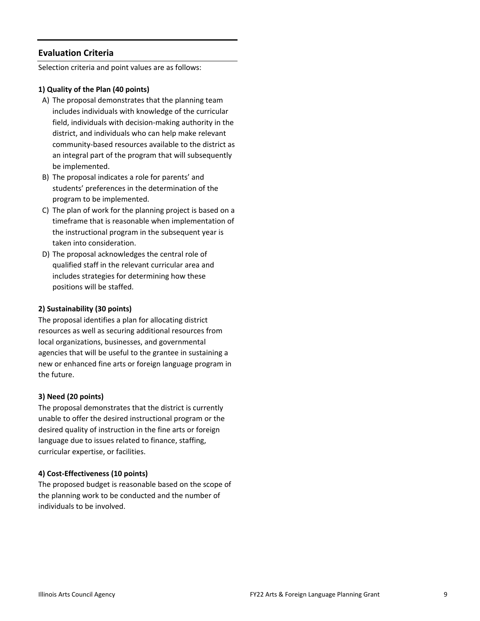# **Evaluation Criteria**

Selection criteria and point values are as follows:

# **1) Quality of the Plan (40 points)**

- A) The proposal demonstrates that the planning team includes individuals with knowledge of the curricular field, individuals with decision-making authority in the district, and individuals who can help make relevant community-based resources available to the district as an integral part of the program that will subsequently be implemented.
- B) The proposal indicates a role for parents' and students' preferences in the determination of the program to be implemented.
- C) The plan of work for the planning project is based on a timeframe that is reasonable when implementation of the instructional program in the subsequent year is taken into consideration.
- D) The proposal acknowledges the central role of qualified staff in the relevant curricular area and includes strategies for determining how these positions will be staffed.

# **2) Sustainability (30 points)**

The proposal identifies a plan for allocating district resources as well as securing additional resources from local organizations, businesses, and governmental agencies that will be useful to the grantee in sustaining a new or enhanced fine arts or foreign language program in the future.

## **3) Need (20 points)**

The proposal demonstrates that the district is currently unable to offer the desired instructional program or the desired quality of instruction in the fine arts or foreign language due to issues related to finance, staffing, curricular expertise, or facilities.

# **4) Cost-Effectiveness (10 points)**

The proposed budget is reasonable based on the scope of the planning work to be conducted and the number of individuals to be involved.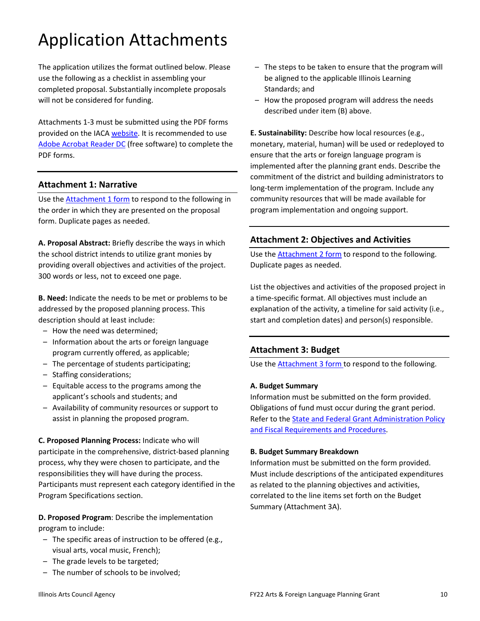# Application Attachments

The application utilizes the format outlined below. Please use the following as a checklist in assembling your completed proposal. Substantially incomplete proposals will not be considered for funding.

Attachments 1-3 must be submitted using the PDF forms provided on the IACA [website.](http://www.arts.illinois.gov/afl) It is recommended to use [Adobe Acrobat Reader DC](https://get2.adobe.com/reader/) (free software) to complete the PDF forms.

# **Attachment 1: Narrative**

Use the [Attachment 1 form](https://arts.illinois.gov/sites/default/files/content/FY22_AFLP_Att1.pdf) to respond to the following in the order in which they are presented on the proposal form. Duplicate pages as needed.

**A. Proposal Abstract:** Briefly describe the ways in which the school district intends to utilize grant monies by providing overall objectives and activities of the project. 300 words or less, not to exceed one page.

**B. Need:** Indicate the needs to be met or problems to be addressed by the proposed planning process. This description should at least include:

- How the need was determined;
- Information about the arts or foreign language program currently offered, as applicable;
- The percentage of students participating;
- Staffing considerations;
- Equitable access to the programs among the applicant's schools and students; and
- Availability of community resources or support to assist in planning the proposed program.

**C. Proposed Planning Process:** Indicate who will participate in the comprehensive, district-based planning process, why they were chosen to participate, and the responsibilities they will have during the process. Participants must represent each category identified in the Program Specifications section.

**D. Proposed Program**: Describe the implementation program to include:

- The specific areas of instruction to be offered (e.g., visual arts, vocal music, French);
- The grade levels to be targeted;
- The number of schools to be involved;
- The steps to be taken to ensure that the program will be aligned to the applicable Illinois Learning Standards; and
- How the proposed program will address the needs described under item (B) above.

**E. Sustainability:** Describe how local resources (e.g., monetary, material, human) will be used or redeployed to ensure that the arts or foreign language program is implemented after the planning grant ends. Describe the commitment of the district and building administrators to long-term implementation of the program. Include any community resources that will be made available for program implementation and ongoing support.

# **Attachment 2: Objectives and Activities**

Use the **Attachment 2 form** to respond to the following. Duplicate pages as needed.

List the objectives and activities of the proposed project in a time-specific format. All objectives must include an explanation of the activity, a timeline for said activity (i.e., start and completion dates) and person(s) responsible.

# **Attachment 3: Budget**

Use the **Attachment 3 form** to respond to the following.

## **A. Budget Summary**

Information must be submitted on the form provided. Obligations of fund must occur during the grant period. Refer to th[e State and Federal Grant Administration Policy](https://www.isbe.net/Documents/fiscal_procedure_handbk.pdf)  [and Fiscal Requirements and Procedures.](https://www.isbe.net/Documents/fiscal_procedure_handbk.pdf)

## **B. Budget Summary Breakdown**

Information must be submitted on the form provided. Must include descriptions of the anticipated expenditures as related to the planning objectives and activities, correlated to the line items set forth on the Budget Summary (Attachment 3A).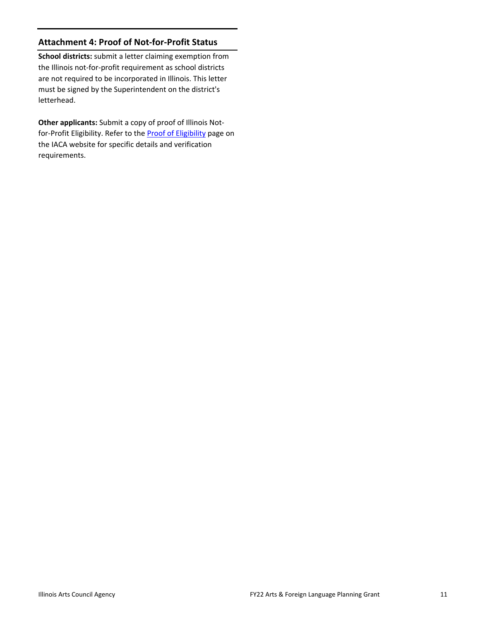# **Attachment 4: Proof of Not-for-Profit Status**

**School districts:** submit a letter claiming exemption from the Illinois not-for-profit requirement as school districts are not required to be incorporated in Illinois. This letter must be signed by the Superintendent on the district's letterhead.

**Other applicants:** Submit a copy of proof of Illinois Notfor-Profit Eligibility. Refer to th[e Proof of Eligibility](http://www.arts.illinois.gov/Proof%20of%20Eligibility#Gov) page on the IACA website for specific details and verification requirements.